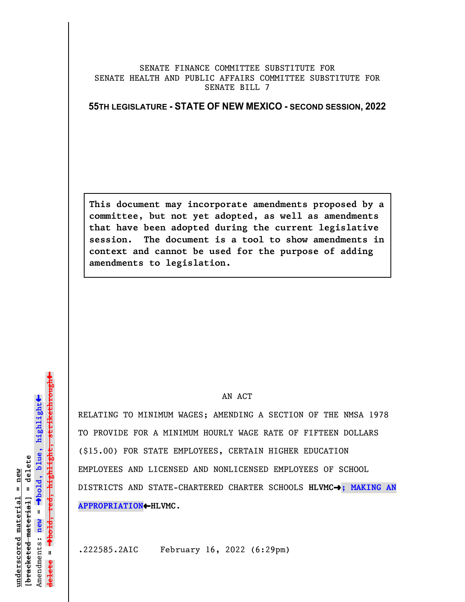## SENATE FINANCE COMMITTEE SUBSTITUTE FOR SENATE HEALTH AND PUBLIC AFFAIRS COMMITTEE SUBSTITUTE FOR SENATE BILL 7

**55TH LEGISLATURE - STATE OF NEW MEXICO - SECOND SESSION, 2022**

**This document may incorporate amendments proposed by a committee, but not yet adopted, as well as amendments that have been adopted during the current legislative session. The document is a tool to show amendments in context and cannot be used for the purpose of adding amendments to legislation.**

## AN ACT

RELATING TO MINIMUM WAGES; AMENDING A SECTION OF THE NMSA 1978 TO PROVIDE FOR A MINIMUM HOURLY WAGE RATE OF FIFTEEN DOLLARS (\$15.00) FOR STATE EMPLOYEES, CERTAIN HIGHER EDUCATION EMPLOYEES AND LICENSED AND NONLICENSED EMPLOYEES OF SCHOOL DISTRICTS AND STATE-CHARTERED CHARTER SCHOOLS **HLVMC**º**; MAKING AN APPROPRIATION**»**HLVMC**.

.222585.2AIC February 16, 2022 (6:29pm)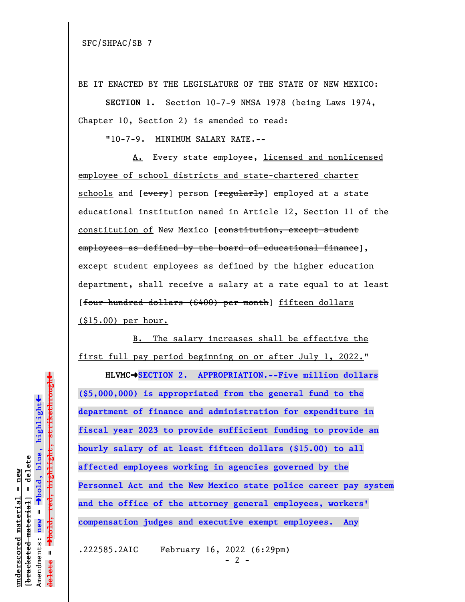BE IT ENACTED BY THE LEGISLATURE OF THE STATE OF NEW MEXICO:

**SECTION 1.** Section 10-7-9 NMSA 1978 (being Laws 1974, Chapter 10, Section 2) is amended to read:

"10-7-9. MINIMUM SALARY RATE.--

A. Every state employee, licensed and nonlicensed employee of school districts and state-chartered charter schools and [every] person [regularly] employed at a state educational institution named in Article 12, Section 11 of the constitution of New Mexico [constitution, except student employees as defined by the board of educational finance], except student employees as defined by the higher education department, shall receive a salary at a rate equal to at least [four hundred dollars (\$400) per month] fifteen dollars (\$15.00) per hour.

B. The salary increases shall be effective the first full pay period beginning on or after July 1, 2022."

**HLVMC**º**SECTION 2. APPROPRIATION.--Five million dollars (\$5,000,000) is appropriated from the general fund to the department of finance and administration for expenditure in fiscal year 2023 to provide sufficient funding to provide an hourly salary of at least fifteen dollars (\$15.00) to all affected employees working in agencies governed by the Personnel Act and the New Mexico state police career pay system and the office of the attorney general employees, workers' compensation judges and executive exempt employees. Any**

.222585.2AIC February 16, 2022 (6:29pm)

 $\ddag$ º**bold, red, highlight, strikethrough**  $\ddot{\bullet}$ º**bold, blue, highlight** bracketed material] = delete **[bracketed material] = delete** inderscored material = new **underscored material = new** Amendments: new = Amendments: **new** =  $\mathbf{u}$ **delete =** lelete